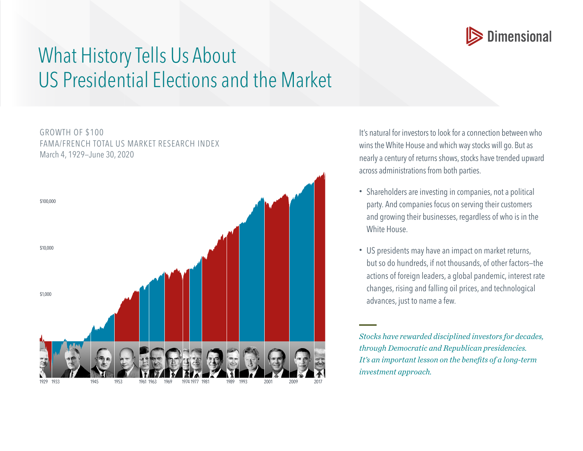

## What History Tells Us About US Presidential Elections and the Market

GROWTH OF \$100 FAMA/FRENCH TOTAL US MARKET RESEARCH INDEX March 4, 1929—June 30, 2020 \$1,000 \$10,000 \$100,000 1929 1933 1945 1953 1961 1963 1969 19741977 1981 1989 1993 2001 2009 2017 It's natural for investors to look for a connection between who wins the White House and which way stocks will go. But as nearly a century of returns shows, stocks have trended upward across administrations from both parties.

- Shareholders are investing in companies, not a political party. And companies focus on serving their customers and growing their businesses, regardless of who is in the White House.
- US presidents may have an impact on market returns, but so do hundreds, if not thousands, of other factors—the actions of foreign leaders, a global pandemic, interest rate changes, rising and falling oil prices, and technological advances, just to name a few.

*Stocks have rewarded disciplined investors for decades, through Democratic and Republican presidencies. It's an important lesson on the benefits of a long-term investment approach.*